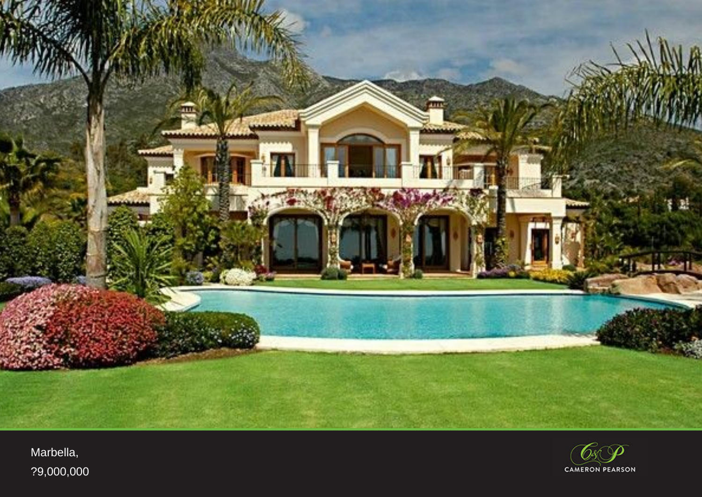



Marbella, ?9,000,000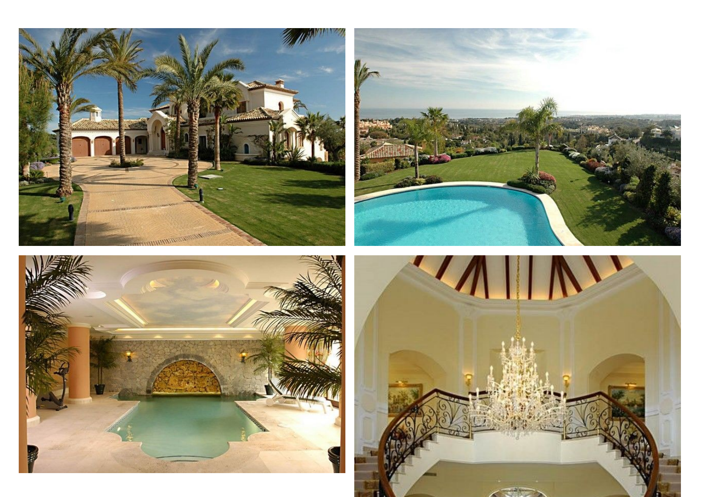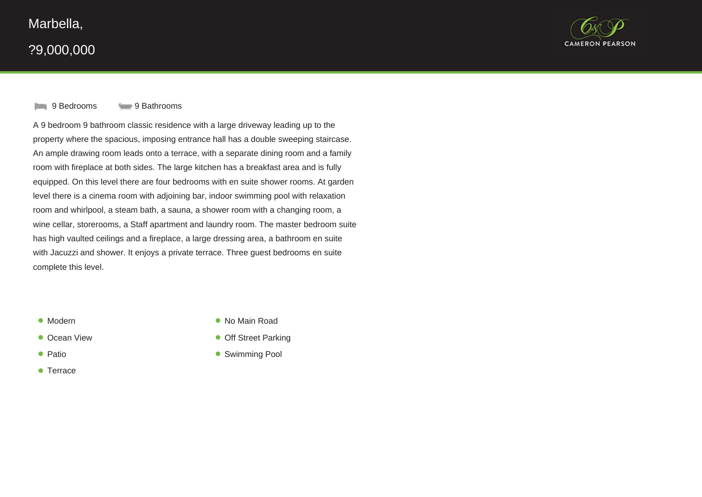

## ?9,000,000

## **9 Bedrooms** 9 Bathrooms

A 9 bedroom 9 bathroom classic residence with a large driveway leading up to the property where the spacious, imposing entrance hall has a double sweeping staircase. An ample drawing room leads onto a terrace, with a separate dining room and a family room with fireplace at both sides. The large kitchen has a breakfast area and is fully equipped. On this level there are four bedrooms with en suite shower rooms. At garden level there is a cinema room with adjoining bar, indoor swimming pool with relaxation room and whirlpool, a steam bath, a sauna, a shower room with a changing room, a wine cellar, storerooms, a Staff apartment and laundry room. The master bedroom suite has high vaulted ceilings and a fireplace, a large dressing area, a bathroom en suite with Jacuzzi and shower. It enjoys a private terrace. Three guest bedrooms en suite complete this level.

- $\bullet$  Modern  $\bullet$
- Ocean View
- $\bullet$  Patio
- Terrace
- Modern No Main Road
	- **Off Street Parking**
- Patio **Calculation Catch Act of Swimming Pool**